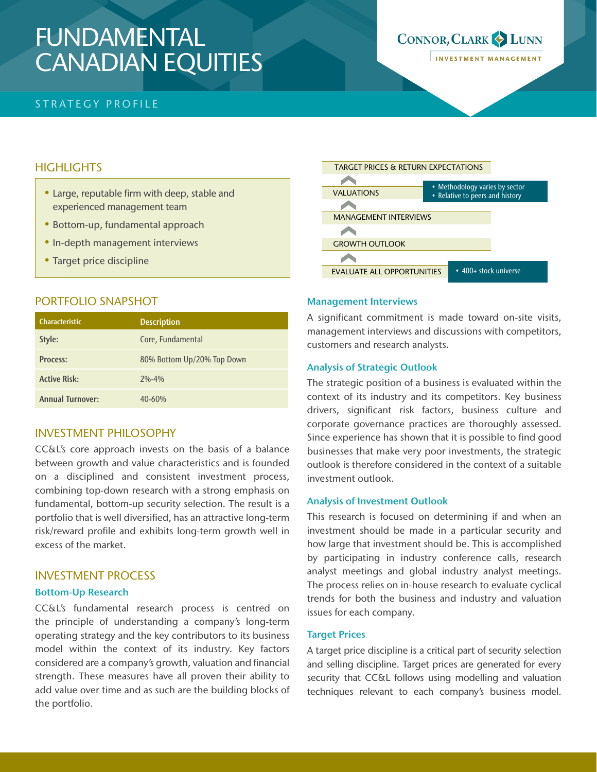# FUNDAMENTAL CANADIAN EQUITIES

## STRATEGY PROFILE

# **HIGHLIGHTS**

- Large, reputable firm with deep, stable and experienced management team
- Bottom-up, fundamental approach
- In-depth management interviews
- Target price discipline

# PORTFOLIO SNAPSHOT

| <b>Characteristic</b>   | <b>Description</b>         |
|-------------------------|----------------------------|
| Style:                  | Core, Fundamental          |
| Process:                | 80% Bottom Up/20% Top Down |
| <b>Active Risk:</b>     | $2% - 4%$                  |
| <b>Annual Turnover:</b> | 40-60%                     |

# INVESTMENT PHILOSOPHY

CC&L's core approach invests on the basis of a balance between growth and value characteristics and is founded on a disciplined and consistent investment process, combining top-down research with a strong emphasis on fundamental, bottom-up security selection. The result is a portfolio that is well diversified, has an attractive long-term risk/reward profile and exhibits long-term growth well in excess of the market.

## INVESTMENT PROCESS

## Bottom-Up Research

CC&L's fundamental research process is centred on the principle of understanding a company's long-term operating strategy and the key contributors to its business model within the context of its industry. Key factors considered are a company's growth, valuation and financial strength. These measures have all proven their ability to add value over time and as such are the building blocks of the portfolio.



#### Management Interviews

A significant commitment is made toward on-site visits, management interviews and discussions with competitors, customers and research analysts.

#### Analysis of Strategic Outlook

The strategic position of a business is evaluated within the context of its industry and its competitors. Key business drivers, significant risk factors, business culture and corporate governance practices are thoroughly assessed. Since experience has shown that it is possible to find good businesses that make very poor investments, the strategic outlook is therefore considered in the context of a suitable investment outlook.

#### Analysis of Investment Outlook

This research is focused on determining if and when an investment should be made in a particular security and how large that investment should be. This is accomplished by participating in industry conference calls, research analyst meetings and global industry analyst meetings. The process relies on in-house research to evaluate cyclical trends for both the business and industry and valuation issues for each company.

#### Target Prices

A target price discipline is a critical part of security selection and selling discipline. Target prices are generated for every security that CC&L follows using modelling and valuation techniques relevant to each company's business model.